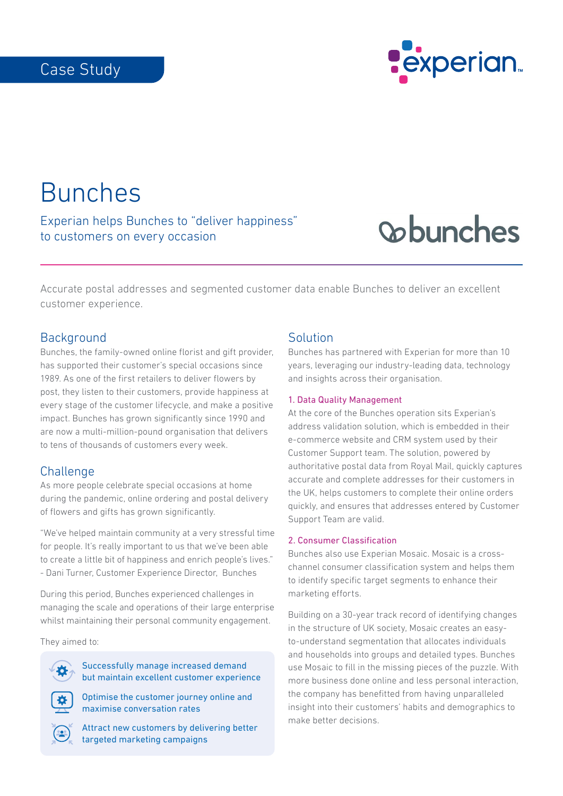# Case Study



Bunches

Experian helps Bunches to "deliver happiness" to customers on every occasion

# **Cobunches**

Accurate postal addresses and segmented customer data enable Bunches to deliver an excellent customer experience.

#### **Background**

Bunches, the family-owned online florist and gift provider, has supported their customer's special occasions since 1989. As one of the first retailers to deliver flowers by post, they listen to their customers, provide happiness at every stage of the customer lifecycle, and make a positive impact. Bunches has grown significantly since 1990 and are now a multi-million-pound organisation that delivers to tens of thousands of customers every week.

#### **Challenge**

As more people celebrate special occasions at home during the pandemic, online ordering and postal delivery of flowers and gifts has grown significantly.

"We've helped maintain community at a very stressful time for people. It's really important to us that we've been able to create a little bit of happiness and enrich people's lives." - Dani Turner, Customer Experience Director, Bunches

During this period, Bunches experienced challenges in managing the scale and operations of their large enterprise whilst maintaining their personal community engagement.

They aimed to:

Successfully manage increased demand but maintain excellent customer experience

Optimise the customer journey online and maximise conversation rates



Attract new customers by delivering better targeted marketing campaigns

### Solution

Bunches has partnered with Experian for more than 10 years, leveraging our industry-leading data, technology and insights across their organisation.

#### 1. Data Quality Management

At the core of the Bunches operation sits Experian's address validation solution, which is embedded in their e-commerce website and CRM system used by their Customer Support team. The solution, powered by authoritative postal data from Royal Mail, quickly captures accurate and complete addresses for their customers in the UK, helps customers to complete their online orders quickly, and ensures that addresses entered by Customer Support Team are valid.

#### 2. Consumer Classification

Bunches also use Experian Mosaic. Mosaic is a crosschannel consumer classification system and helps them to identify specific target segments to enhance their marketing efforts.

Building on a 30-year track record of identifying changes in the structure of UK society, Mosaic creates an easyto-understand segmentation that allocates individuals and households into groups and detailed types. Bunches use Mosaic to fill in the missing pieces of the puzzle. With more business done online and less personal interaction, the company has benefitted from having unparalleled insight into their customers' habits and demographics to make better decisions.